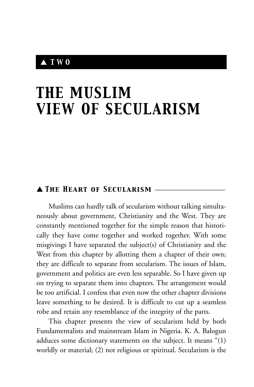# ▲ *TWO*

# *THE MUSLIM VIEW OF SECULARISM*

# ▲ *The Heart of Secularism* \_\_\_\_\_\_\_\_\_\_\_\_\_\_\_\_\_\_\_

Muslims can hardly talk of secularism without talking simultaneously about government, Christianity and the West. They are constantly mentioned together for the simple reason that historically they have come together and worked together. With some misgivings I have separated the subject(s) of Christianity and the West from this chapter by allotting them a chapter of their own; they are difficult to separate from secularism. The issues of Islam, government and politics are even less separable. So I have given up on trying to separate them into chapters. The arrangement would be too artificial. I confess that even now the other chapter divisions leave something to be desired. It is difficult to cut up a seamless robe and retain any resemblance of the integrity of the parts.

This chapter presents the view of secularism held by both Fundamentalists and mainstream Islam in Nigeria. K. A. Balogun adduces some dictionary statements on the subject. It means "(1) worldly or material; (2) not religious or spiritual. Secularism is the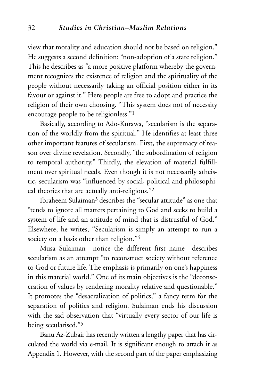view that morality and education should not be based on religion." He suggests a second definition: "non-adoption of a state religion." This he describes as "a more positive platform whereby the government recognizes the existence of religion and the spirituality of the people without necessarily taking an official position either in its favour or against it." Here people are free to adopt and practice the religion of their own choosing. "This system does not of necessity encourage people to be religionless."1

Basically, according to Ado-Kurawa, "secularism is the separation of the worldly from the spiritual." He identifies at least three other important features of secularism. First, the supremacy of reason over divine revelation. Secondly, "the subordination of religion to temporal authority." Thirdly, the elevation of material fulfillment over spiritual needs. Even though it is not necessarily atheistic, secularism was "influenced by social, political and philosophical theories that are actually anti-religious."2

Ibraheem Sulaiman3 describes the "secular attitude" as one that "tends to ignore all matters pertaining to God and seeks to build a system of life and an attitude of mind that is distrustful of God." Elsewhere, he writes, "Secularism is simply an attempt to run a society on a basis other than religion."4

Musa Sulaiman—notice the different first name—describes secularism as an attempt "to reconstruct society without reference to God or future life. The emphasis is primarily on one's happiness in this material world." One of its main objectives is the "deconsecration of values by rendering morality relative and questionable." It promotes the "desacralization of politics," a fancy term for the separation of politics and religion. Sulaiman ends his discussion with the sad observation that "virtually every sector of our life is being secularised."5

Banu Az-Zubair has recently written a lengthy paper that has circulated the world via e-mail. It is significant enough to attach it as Appendix 1. However, with the second part of the paper emphasizing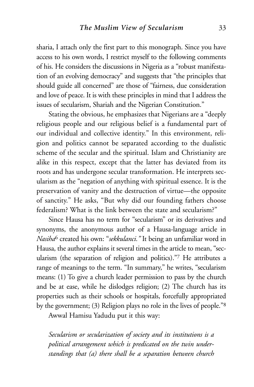sharia, I attach only the first part to this monograph. Since you have access to his own words, I restrict myself to the following comments of his. He considers the discussions in Nigeria as a "robust manifestation of an evolving democracy" and suggests that "the principles that should guide all concerned" are those of "fairness, due consideration and love of peace. It is with these principles in mind that I address the issues of secularism, Shariah and the Nigerian Constitution."

Stating the obvious, he emphasizes that Nigerians are a "deeply religious people and our religious belief is a fundamental part of our individual and collective identity." In this environment, religion and politics cannot be separated according to the dualistic scheme of the secular and the spiritual. Islam and Christianity are alike in this respect, except that the latter has deviated from its roots and has undergone secular transformation. He interprets secularism as the "negation of anything with spiritual essence. It is the preservation of vanity and the destruction of virtue—the opposite of sanctity." He asks, "But why did our founding fathers choose federalism? What is the link between the state and secularism?"

Since Hausa has no term for "secularism" or its derivatives and synonyms, the anonymous author of a Hausa-language article in *Nasiha*<sup>6</sup> created his own: "*sekkulanci."* It being an unfamiliar word in Hausa, the author explains it several times in the article to mean, "secularism (the separation of religion and politics)."7 He attributes a range of meanings to the term. "In summary," he writes, "secularism means: (1) To give a church leader permission to pass by the church and be at ease, while he dislodges religion; (2) The church has its properties such as their schools or hospitals, forcefully appropriated by the government; (3) Religion plays no role in the lives of people."8

Awwal Hamisu Yadudu put it this way:

*Secularism or secularization of society and its institutions is a political arrangement which is predicated on the twin understandings that (a) there shall be a separation between church*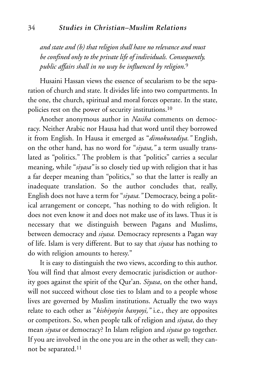*and state and (b) that religion shall have no relevance and must be confined only to the private life of individuals. Consequently, public affairs shall in no way be influenced by religion.*<sup>9</sup>

Husaini Hassan views the essence of secularism to be the separation of church and state. It divides life into two compartments. In the one, the church, spiritual and moral forces operate. In the state, policies rest on the power of security institutions.10

Another anonymous author in *Nasiha* comments on democracy. Neither Arabic nor Hausa had that word until they borrowed it from English. In Hausa it emerged as "*dimokuradiya."* English, on the other hand, has no word for "*siyasa,"* a term usually translated as "politics." The problem is that "politics" carries a secular meaning, while "*siyasa"* is so closely tied up with religion that it has a far deeper meaning than "politics," so that the latter is really an inadequate translation. So the author concludes that, really, English does not have a term for "*siyasa."* Democracy, being a political arrangement or concept, "has nothing to do with religion. It does not even know it and does not make use of its laws. Thus it is necessary that we distinguish between Pagans and Muslims, between democracy and *siyasa.* Democracy represents a Pagan way of life. Islam is very different. But to say that *siyasa* has nothing to do with religion amounts to heresy."

It is easy to distinguish the two views, according to this author. You will find that almost every democratic jurisdiction or authority goes against the spirit of the Qur'an. *Siyasa*, on the other hand, will not succeed without close ties to Islam and to a people whose lives are governed by Muslim institutions. Actually the two ways relate to each other as "*kishiyoyin hanyoyi,"* i.e., they are opposites or competitors. So, when people talk of religion and *siyasa*, do they mean *siyasa* or democracy? In Islam religion and *siyasa* go together. If you are involved in the one you are in the other as well; they cannot be separated.11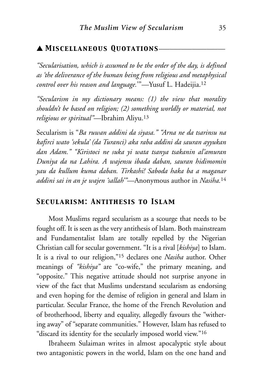## ▲ *Miscellaneous Quotations*\_\_\_\_\_\_\_\_\_\_\_\_\_\_\_\_\_\_

*"Secularisation, which is assumed to be the order of the day, is defined as 'the deliverance of the human being from religious and metaphysical control over his reason and language.*'"—Yusuf L. Hadeijia.12

*"Secularism in my dictionary means: (1) the view that morality shouldn't be based on religion; (2) something worldly or material, not religious or spiritual"—*Ibrahim Aliyu.13

Secularism is "*Ba ruwan addini da siyasa." "Arna ne da tsarinsu na kafirci wato 'sekula' (da Turanci) aka raba addini da sauran ayyukan dan Adam." "Kiristoci ne suka yi wata tsanya tsakanin al'amuran Duniya da na Lahira. A wajensu ibada daban, sauran hidimomin yau da kullum kuma daban. Tirkashi! Saboda haka ba a maganar addini sai in an je wajen 'sallah'"—*Anonymous author in *Nasiha.*<sup>14</sup>

#### *Secularism: Antithesis to Islam*

Most Muslims regard secularism as a scourge that needs to be fought off. It is seen as the very antithesis of Islam. Both mainstream and Fundamentalist Islam are totally repelled by the Nigerian Christian call for secular government. "It is a rival [*kishiya*] to Islam. It is a rival to our religion,"15 declares one *Nasiha* author. Other meanings of *"kishiya"* are "co-wife," the primary meaning, and "opposite." This negative attitude should not surprise anyone in view of the fact that Muslims understand secularism as endorsing and even hoping for the demise of religion in general and Islam in particular. Secular France, the home of the French Revolution and of brotherhood, liberty and equality, allegedly favours the "withering away" of "separate communities." However, Islam has refused to "discard its identity for the secularly imposed world view."16

Ibraheem Sulaiman writes in almost apocalyptic style about two antagonistic powers in the world, Islam on the one hand and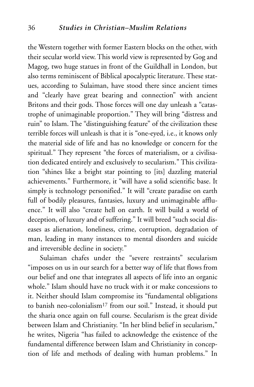the Western together with former Eastern blocks on the other, with their secular world view. This world view is represented by Gog and Magog, two huge statues in front of the Guildhall in London, but also terms reminiscent of Biblical apocalyptic literature. These statues, according to Sulaiman, have stood there since ancient times and "clearly have great bearing and connection" with ancient Britons and their gods. Those forces will one day unleash a "catastrophe of unimaginable proportion." They will bring "distress and ruin" to Islam. The "distinguishing feature" of the civilization these terrible forces will unleash is that it is "one-eyed, i.e., it knows only the material side of life and has no knowledge or concern for the spiritual." They represent "the forces of materialism, or a civilisation dedicated entirely and exclusively to secularism." This civilization "shines like a bright star pointing to [its] dazzling material achievements." Furthermore, it "will have a solid scientific base. It simply is technology personified." It will "create paradise on earth full of bodily pleasures, fantasies, luxury and unimaginable affluence." It will also "create hell on earth. It will build a world of deception, of luxury and of suffering." It will breed "such social diseases as alienation, loneliness, crime, corruption, degradation of man, leading in many instances to mental disorders and suicide and irreversible decline in society."

Sulaiman chafes under the "severe restraints" secularism "imposes on us in our search for a better way of life that flows from our belief and one that integrates all aspects of life into an organic whole." Islam should have no truck with it or make concessions to it. Neither should Islam compromise its "fundamental obligations to banish neo-colonialism17 from our soil." Instead, it should put the sharia once again on full course. Secularism is the great divide between Islam and Christianity. "In her blind belief in secularism," he writes, Nigeria "has failed to acknowledge the existence of the fundamental difference between Islam and Christianity in conception of life and methods of dealing with human problems." In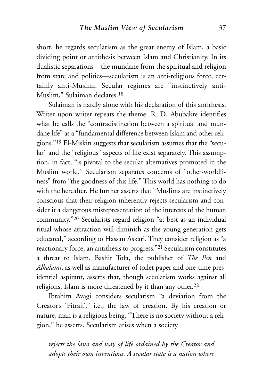short, he regards secularism as the great enemy of Islam, a basic dividing point or antithesis between Islam and Christianity. In its dualistic separations—the mundane from the spiritual and religion from state and politics—secularism is an anti-religious force, certainly anti-Muslim. Secular regimes are "instinctively anti-Muslim," Sulaiman declares.18

Sulaiman is hardly alone with his declaration of this antithesis. Writer upon writer repeats the theme. R. D. Abubakre identifies what he calls the "contradistinction between a spiritual and mundane life" as a "fundamental difference between Islam and other religions."19 El-Miskin suggests that secularism assumes that the "secular" and the "religious" aspects of life exist separately. This assumption, in fact, "is pivotal to the secular alternatives promoted in the Muslim world." Secularism separates concerns of "other-worldliness" from "the goodness of this life." This world has nothing to do with the hereafter. He further asserts that "Muslims are instinctively conscious that their religion inherently rejects secularism and consider it a dangerous misrepresentation of the interests of the human community."20 Secularists regard religion "at best as an individual ritual whose attraction will diminish as the young generation gets educated," according to Hassan Askari. They consider religion as "a reactionary force, an antithesis to progress."21 Secularism constitutes a threat to Islam. Bashir Tofa, the publisher of *The Pen* and *Alkalami*, as well as manufacturer of toilet paper and one-time presidential aspirant, asserts that, though secularism works against all religions, Islam is more threatened by it than any other.<sup>22</sup>

Ibrahim Avagi considers secularism "a deviation from the Creator's 'Fitrah'," i.e., the law of creation. By his creation or nature, man is a religious being. "There is no society without a religion," he asserts. Secularism arises when a society

*rejects the laws and way of life ordained by the Creator and adopts their own inventions. A secular state is a nation where*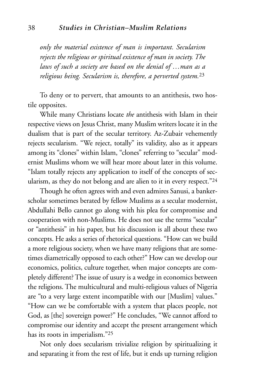*only the material existence of man is important. Secularism rejects the religious or spiritual existence of man in society. The laws of such a society are based on the denial of …man as a religious being. Secularism is, therefore, a perverted system.*<sup>23</sup>

To deny or to pervert, that amounts to an antithesis, two hostile opposites.

While many Christians locate *the* antithesis with Islam in their respective views on Jesus Christ, many Muslim writers locate it in the dualism that is part of the secular territory. Az-Zubair vehemently rejects secularism. "We reject, totally" its validity, also as it appears among its "clones" within Islam, "clones" referring to "secular" modernist Muslims whom we will hear more about later in this volume. "Islam totally rejects any application to itself of the concepts of secularism, as they do not belong and are alien to it in every respect."24

Though he often agrees with and even admires Sanusi, a bankerscholar sometimes berated by fellow Muslims as a secular modernist, Abdullahi Bello cannot go along with his plea for compromise and cooperation with non-Muslims. He does not use the terms "secular" or "antithesis" in his paper, but his discussion is all about these two concepts. He asks a series of rhetorical questions. "How can we build a more religious society, when we have many religions that are sometimes diametrically opposed to each other?" How can we develop our economics, politics, culture together, when major concepts are completely different? The issue of usury is a wedge in economics between the religions. The multicultural and multi-religious values of Nigeria are "to a very large extent incompatible with our [Muslim] values." "How can we be comfortable with a system that places people, not God, as [the] sovereign power?" He concludes, "We cannot afford to compromise our identity and accept the present arrangement which has its roots in imperialism."25

Not only does secularism trivialize religion by spiritualizing it and separating it from the rest of life, but it ends up turning religion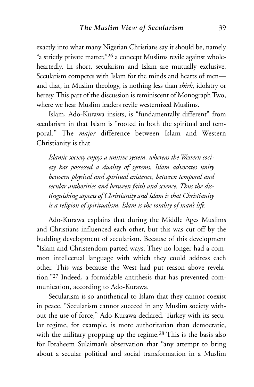exactly into what many Nigerian Christians say it should be, namely "a strictly private matter,"26 a concept Muslims revile against wholeheartedly. In short, secularism and Islam are mutually exclusive. Secularism competes with Islam for the minds and hearts of men and that, in Muslim theology, is nothing less than *shirk*, idolatry or heresy. This part of the discussion is reminiscent of Monograph Two, where we hear Muslim leaders revile westernized Muslims.

Islam, Ado-Kurawa insists, is "fundamentally different" from secularism in that Islam is "rooted in both the spiritual and temporal." The *major* difference between Islam and Western Christianity is that

*Islamic society enjoys a unitive system, whereas the Western society has possessed a duality of systems. Islam advocates unity between physical and spiritual existence, between temporal and secular authorities and between faith and science. Thus the distinguishing aspects of Christianity and Islam is that Christianity is a religion of spiritualism, Islam is the totality of man's life.*

Ado-Kurawa explains that during the Middle Ages Muslims and Christians influenced each other, but this was cut off by the budding development of secularism. Because of this development "Islam and Christendom parted ways. They no longer had a common intellectual language with which they could address each other. This was because the West had put reason above revelation."27 Indeed, a formidable antithesis that has prevented communication, according to Ado-Kurawa.

Secularism is so antithetical to Islam that they cannot coexist in peace. "Secularism cannot succeed in any Muslim society without the use of force," Ado-Kurawa declared. Turkey with its secular regime, for example, is more authoritarian than democratic, with the military propping up the regime.<sup>28</sup> This is the basis also for Ibraheem Sulaiman's observation that "any attempt to bring about a secular political and social transformation in a Muslim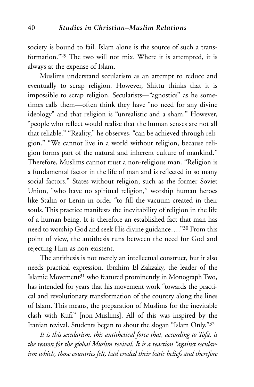society is bound to fail. Islam alone is the source of such a transformation."29 The two will not mix. Where it is attempted, it is always at the expense of Islam.

Muslims understand secularism as an attempt to reduce and eventually to scrap religion. However, Shittu thinks that it is impossible to scrap religion. Secularists—"agnostics" as he sometimes calls them—often think they have "no need for any divine ideology" and that religion is "unrealistic and a sham." However, "people who reflect would realise that the human senses are not all that reliable." "Reality," he observes, "can be achieved through religion." "We cannot live in a world without religion, because religion forms part of the natural and inherent culture of mankind." Therefore, Muslims cannot trust a non-religious man. "Religion is a fundamental factor in the life of man and is reflected in so many social factors." States without religion, such as the former Soviet Union, "who have no spiritual religion," worship human heroes like Stalin or Lenin in order "to fill the vacuum created in their souls. This practice manifests the inevitability of religion in the life of a human being. It is therefore an established fact that man has need to worship God and seek His divine guidance…."30 From this point of view, the antithesis runs between the need for God and rejecting Him as non-existent.

The antithesis is not merely an intellectual construct, but it also needs practical expression. Ibrahim El-Zakzaky, the leader of the Islamic Movement31 who featured prominently in Monograph Two, has intended for years that his movement work "towards the practical and revolutionary transformation of the country along the lines of Islam. This means, the preparation of Muslims for the inevitable clash with Kufr" [non-Muslims]. All of this was inspired by the Iranian revival. Students began to shout the slogan "Islam Only."32

*It is this secularism, this antithetical force that, according to Tofa, is the reason for the global Muslim revival. It is a reaction "against secularism which, those countries felt, had eroded their basic beliefs and therefore*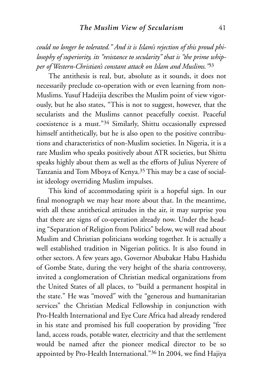*could no longer be tolerated." And it is Islam's rejection of this proud philosophy of superiority, its "resistance to secularity" that is "the prime whipper of Western-Christian's constant attack on Islam and Muslims."*<sup>33</sup>

The antithesis is real, but, absolute as it sounds, it does not necessarily preclude co-operation with or even learning from non-Muslims. Yusuf Hadeijia describes the Muslim point of view vigorously, but he also states, "This is not to suggest, however, that the secularists and the Muslims cannot peacefully coexist. Peaceful coexistence is a must."34 Similarly, Shittu occasionally expressed himself antithetically, but he is also open to the positive contributions and characteristics of non-Muslim societies. In Nigeria, it is a rare Muslim who speaks positively about ATR societies, but Shittu speaks highly about them as well as the efforts of Julius Nyerere of Tanzania and Tom Mboya of Kenya.35 This may be a case of socialist ideology overriding Muslim impulses.

This kind of accommodating spirit is a hopeful sign. In our final monograph we may hear more about that. In the meantime, with all these antithetical attitudes in the air, it may surprise you that there are signs of co-operation already now. Under the heading "Separation of Religion from Politics" below, we will read about Muslim and Christian politicians working together. It is actually a well established tradition in Nigerian politics. It is also found in other sectors. A few years ago, Governor Abubakar Habu Hashidu of Gombe State, during the very height of the sharia controversy, invited a conglomeration of Christian medical organizations from the United States of all places, to "build a permanent hospital in the state." He was "moved" with the "generous and humanitarian services" the Christian Medical Fellowship in conjunction with Pro-Health International and Eye Cure Africa had already rendered in his state and promised his full cooperation by providing "free land, access roads, potable water, electricity and that the settlement would be named after the pioneer medical director to be so appointed by Pro-Health International."36 In 2004, we find Hajiya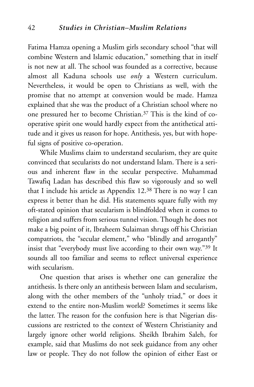Fatima Hamza opening a Muslim girls secondary school "that will combine Western and Islamic education," something that in itself is not new at all. The school was founded as a corrective, because almost all Kaduna schools use *only* a Western curriculum. Nevertheless, it would be open to Christians as well, with the promise that no attempt at conversion would be made. Hamza explained that she was the product of a Christian school where no one pressured her to become Christian.37 This is the kind of cooperative spirit one would hardly expect from the antithetical attitude and it gives us reason for hope. Antithesis, yes, but with hopeful signs of positive co-operation.

While Muslims claim to understand secularism, they are quite convinced that secularists do not understand Islam. There is a serious and inherent flaw in the secular perspective. Muhammad Tawafiq Ladan has described this flaw so vigorously and so well that I include his article as Appendix 12.38 There is no way I can express it better than he did. His statements square fully with my oft-stated opinion that secularism is blindfolded when it comes to religion and suffers from serious tunnel vision. Though he does not make a big point of it, Ibraheem Sulaiman shrugs off his Christian compatriots, the "secular element," who "blindly and arrogantly" insist that "everybody must live according to their own way."39 It sounds all too familiar and seems to reflect universal experience with secularism.

One question that arises is whether one can generalize the antithesis. Is there only an antithesis between Islam and secularism, along with the other members of the "unholy triad," or does it extend to the entire non-Muslim world? Sometimes it seems like the latter. The reason for the confusion here is that Nigerian discussions are restricted to the context of Western Christianity and largely ignore other world religions. Sheikh Ibrahim Saleh, for example, said that Muslims do not seek guidance from any other law or people. They do not follow the opinion of either East or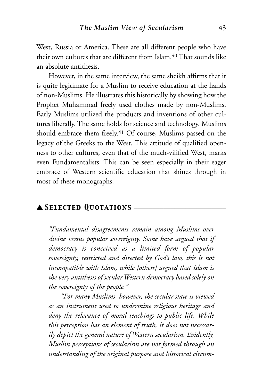West, Russia or America. These are all different people who have their own cultures that are different from Islam.<sup>40</sup> That sounds like an absolute antithesis.

However, in the same interview, the same sheikh affirms that it is quite legitimate for a Muslim to receive education at the hands of non-Muslims. He illustrates this historically by showing how the Prophet Muhammad freely used clothes made by non-Muslims. Early Muslims utilized the products and inventions of other cultures liberally. The same holds for science and technology. Muslims should embrace them freely.<sup>41</sup> Of course, Muslims passed on the legacy of the Greeks to the West. This attitude of qualified openness to other cultures, even that of the much-vilified West, marks even Fundamentalists. This can be seen especially in their eager embrace of Western scientific education that shines through in most of these monographs.

#### ▲ *Selected Quotations* \_\_\_\_\_\_\_\_\_\_\_\_\_\_\_\_\_\_\_\_\_\_\_\_\_

*"Fundamental disagreements remain among Muslims over divine versus popular sovereignty. Some have argued that if democracy is conceived as a limited form of popular sovereignty, restricted and directed by God's law, this is not incompatible with Islam, while [others] argued that Islam is the very antithesis of secular Western democracy based solely on the sovereignty of the people."*

*"For many Muslims, however, the secular state is viewed as an instrument used to undermine religious heritage and deny the relevance of moral teachings to public life. While this perception has an element of truth, it does not necessarily depict the general nature of Western secularism. Evidently, Muslim perceptions of secularism are not formed through an understanding of the original purpose and historical circum-*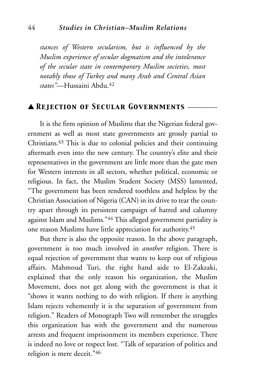*stances of Western secularism, but is influenced by the Muslim experience of secular dogmatism and the intolerance of the secular state in contemporary Muslim societies, most notably those of Turkey and many Arab and Central Asian states"*—Hussaini Abdu.42

# ▲ *Rejection of Secular Governments* \_\_\_\_\_\_\_\_

It is the firm opinion of Muslims that the Nigerian federal government as well as most state governments are grossly partial to Christians.43 This is due to colonial policies and their continuing aftermath even into the new century. The country's elite and their representatives in the government are little more than the gate men for Western interests in all sectors, whether political, economic or religious. In fact, the Muslim Student Society (MSS) lamented, "The government has been rendered toothless and helpless by the Christian Association of Nigeria (CAN) in its drive to tear the country apart through its persistent campaign of hatred and calumny against Islam and Muslims."44 This alleged government partiality is one reason Muslims have little appreciation for authority.45

But there is also the opposite reason. In the above paragraph, government is too much involved in *another* religion. There is equal rejection of government that wants to keep out of religious affairs. Mahmoud Turi, the right hand aide to El-Zakzaki, explained that the only reason his organization, the Muslim Movement, does not get along with the government is that it "shows it wants nothing to do with religion. If there is anything Islam rejects vehemently it is the separation of government from religion." Readers of Monograph Two will remember the struggles this organization has with the government and the numerous arrests and frequent imprisonment its members experience. There is indeed no love or respect lost. "Talk of separation of politics and religion is mere deceit."46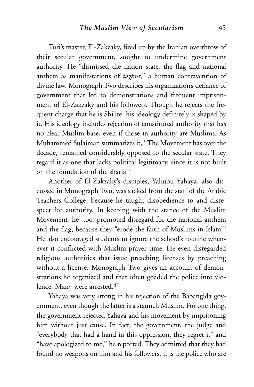Turi's master, El-Zakzaky, fired up by the Iranian overthrow of their secular government, sought to undermine government authority. He "dismissed the nation state, the flag and national anthem as manifestations of *taghut*," a human contravention of divine law. Monograph Two describes his organization's defiance of government that led to demonstrations and frequent imprisonment of El-Zakzaky and his followers. Though he rejects the frequent charge that he is Shi'ite, his ideology definitely is shaped by it. His ideology includes rejection of constituted authority that has no clear Muslim base, even if those in authority are Muslims. As Muhammed Sulaiman summarizes it, "The Movement has over the decade, remained considerably opposed to the secular state. They regard it as one that lacks political legitimacy, since it is not built on the foundation of the sharia."

Another of El-Zakzaky's disciples, Yakubu Yahaya, also discussed in Monograph Two, was sacked from the staff of the Arabic Teachers College, because he taught disobedience to and disrespect for authority. In keeping with the stance of the Muslim Movement, he, too, promoted disregard for the national anthem and the flag, because they "erode the faith of Muslims in Islam." He also encouraged students to ignore the school's routine whenever it conflicted with Muslim prayer time. He even disregarded religious authorities that issue preaching licenses by preaching without a license. Monograph Two gives an account of demonstrations he organized and that often goaded the police into violence. Many were arrested.47

Yahaya was very strong in his rejection of the Babangida government, even though the latter is a staunch Muslim. For one thing, the government rejected Yahaya and his movement by imprisoning him without just cause. In fact, the government, the judge and "everybody that had a hand in this oppression, they regret it" and "have apologized to me," he reported. They admitted that they had found no weapons on him and his followers. It is the police who are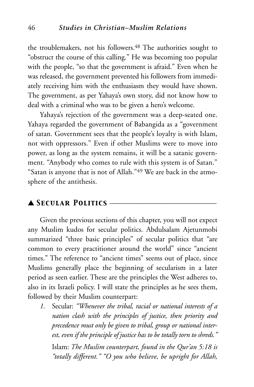the troublemakers, not his followers.<sup>48</sup> The authorities sought to "obstruct the course of this calling." He was becoming too popular with the people, "so that the government is afraid." Even when he was released, the government prevented his followers from immediately receiving him with the enthusiasm they would have shown. The government, as per Yahaya's own story, did not know how to deal with a criminal who was to be given a hero's welcome.

Yahaya's rejection of the government was a deep-seated one. Yahaya regarded the government of Babangida as a "government of satan. Government sees that the people's loyalty is with Islam, not with oppressors." Even if other Muslims were to move into power, as long as the system remains, it will be a satanic government. "Anybody who comes to rule with this system is of Satan." "Satan is anyone that is not of Allah."49 We are back in the atmosphere of the antithesis.

#### ▲ *Secular Politics* \_\_\_\_\_\_\_\_\_\_\_\_\_\_\_\_\_\_\_\_\_\_\_\_\_\_\_\_\_

Given the previous sections of this chapter, you will not expect any Muslim kudos for secular politics. Abdulsalam Ajetunmobi summarized "three basic principles" of secular politics that "are common to every practitioner around the world" since "ancient times." The reference to "ancient times" seems out of place, since Muslims generally place the beginning of secularism in a later period as seen earlier. These are the principles the West adheres to, also in its Israeli policy. I will state the principles as he sees them, followed by their Muslim counterpart:

*1.* Secular: *"Whenever the tribal, racial or national interests of a nation clash with the principles of justice, then priority and precedence must only be given to tribal, group or national interest, even if the principle of justice has to be totally torn to shreds."* Islam: *The Muslim counterpart, found in the Qur'an 5:18 is "totally different." "O you who believe, be upright for Allah,*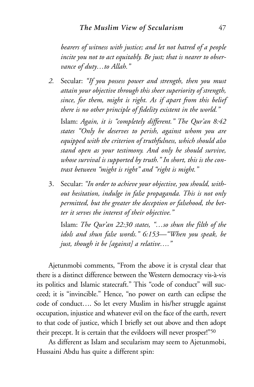*bearers of witness with justice; and let not hatred of a people incite you not to act equitably. Be just; that is nearer to observance of duty…to Allah."*

*2.* Secular: *"If you possess power and strength, then you must attain your objective through this sheer superiority of strength, since, for them, might is right. As if apart from this belief there is no other principle of fidelity existent in the world."*

Islam: *Again, it is "completely different." The Qur'an 8:42 states "Only he deserves to perish, against whom you are equipped with the criterion of truthfulness, which should also stand open as your testimony. And only he should survive, whose survival is supported by truth." In short, this is the contrast between "might is right" and "right is might."*

3. Secular: *"In order to achieve your objective, you should, without hesitation, indulge in false propaganda. This is not only permitted, but the greater the deception or falsehood, the better it serves the interest of their objective."*

Islam: *The Qur'an 22:30 states, "…so shun the filth of the idols and shun false words." 6:153—"When you speak, be just, though it be [against] a relative…."*

Ajetunmobi comments, "From the above it is crystal clear that there is a distinct difference between the Western democracy vis-à-vis its politics and Islamic statecraft." This "code of conduct" will succeed; it is "invincible." Hence, "no power on earth can eclipse the code of conduct…. So let every Muslim in his/her struggle against occupation, injustice and whatever evil on the face of the earth, revert to that code of justice, which I briefly set out above and then adopt their precept. It is certain that the evildoers will never prosper!"50

As different as Islam and secularism may seem to Ajetunmobi, Hussaini Abdu has quite a different spin: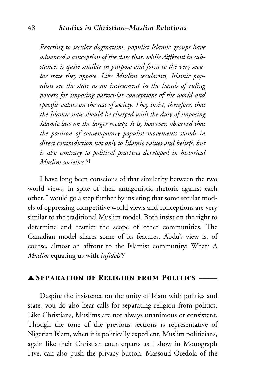*Reacting to secular dogmatism, populist Islamic groups have advanced a conception of the state that, while different in substance, is quite similar in purpose and form to the very secular state they oppose. Like Muslim secularists, Islamic populists see the state as an instrument in the hands of ruling powers for imposing particular conceptions of the world and specific values on the rest of society. They insist, therefore, that the Islamic state should be charged with the duty of imposing Islamic law on the larger society. It is, however, observed that the position of contemporary populist movements stands in direct contradiction not only to Islamic values and beliefs, but is also contrary to political practices developed in historical Muslim societies.*<sup>51</sup>

I have long been conscious of that similarity between the two world views, in spite of their antagonistic rhetoric against each other. I would go a step further by insisting that some secular models of oppressing competitive world views and conceptions are very similar to the traditional Muslim model. Both insist on the right to determine and restrict the scope of other communities. The Canadian model shares some of its features. Abdu's view is, of course, almost an affront to the Islamist community: What? A *Muslim* equating us with *infidels?!*

#### ▲ *Separation of Religion from Politics* \_\_\_\_\_

Despite the insistence on the unity of Islam with politics and state, you do also hear calls for separating religion from politics. Like Christians, Muslims are not always unanimous or consistent. Though the tone of the previous sections is representative of Nigerian Islam, when it is politically expedient, Muslim politicians, again like their Christian counterparts as I show in Monograph Five, can also push the privacy button. Massoud Oredola of the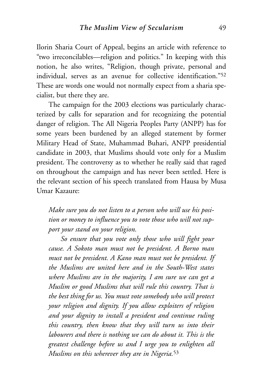Ilorin Sharia Court of Appeal, begins an article with reference to "two irreconcilables—religion and politics." In keeping with this notion, he also writes, "Religion, though private, personal and individual, serves as an avenue for collective identification."52 These are words one would not normally expect from a sharia specialist, but there they are.

The campaign for the 2003 elections was particularly characterized by calls for separation and for recognizing the potential danger of religion. The All Nigeria Peoples Party (ANPP) has for some years been burdened by an alleged statement by former Military Head of State, Muhammad Buhari, ANPP presidential candidate in 2003, that Muslims should vote only for a Muslim president. The controversy as to whether he really said that raged on throughout the campaign and has never been settled. Here is the relevant section of his speech translated from Hausa by Musa Umar Kazaure:

*Make sure you do not listen to a person who will use his position or money to influence you to vote those who will not support your stand on your religion.*

*So ensure that you vote only those who will fight your cause. A Sokoto man must not be president. A Borno man must not be president. A Kano man must not be president. If the Muslims are united here and in the South-West states where Muslims are in the majority, I am sure we can get a Muslim or good Muslims that will rule this country. That is the best thing for us. You must vote somebody who will protect your religion and dignity. If you allow exploiters of religion and your dignity to install a president and continue ruling this country, then know that they will turn us into their labourers and there is nothing we can do about it. This is the greatest challenge before us and I urge you to enlighten all Muslims on this wherever they are in Nigeria.*<sup>53</sup>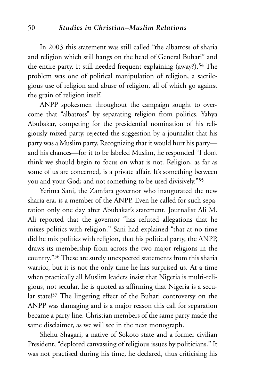In 2003 this statement was still called "the albatross of sharia and religion which still hangs on the head of General Buhari" and the entire party. It still needed frequent explaining (away?).54 The problem was one of political manipulation of religion, a sacrilegious use of religion and abuse of religion, all of which go against the grain of religion itself.

ANPP spokesmen throughout the campaign sought to overcome that "albatross" by separating religion from politics. Yahya Abubakar, competing for the presidential nomination of his religiously-mixed party, rejected the suggestion by a journalist that his party was a Muslim party. Recognizing that it would hurt his party and his chances—for it to be labeled Muslim, he responded "I don't think we should begin to focus on what is not. Religion, as far as some of us are concerned, is a private affair. It's something between you and your God; and not something to be used divisively."55

Yerima Sani, the Zamfara governor who inaugurated the new sharia era, is a member of the ANPP. Even he called for such separation only one day after Abubakar's statement. Journalist Ali M. Ali reported that the governor "has refuted allegations that he mixes politics with religion." Sani had explained "that at no time did he mix politics with religion, that his political party, the ANPP, draws its membership from across the two major religions in the country."56 These are surely unexpected statements from this sharia warrior, but it is not the only time he has surprised us. At a time when practically all Muslim leaders insist that Nigeria is multi-religious, not secular, he is quoted as affirming that Nigeria is a secular state!57 The lingering effect of the Buhari controversy on the ANPP was damaging and is a major reason this call for separation became a party line. Christian members of the same party made the same disclaimer, as we will see in the next monograph.

Shehu Shagari, a native of Sokoto state and a former civilian President, "deplored canvassing of religious issues by politicians." It was not practised during his time, he declared, thus criticising his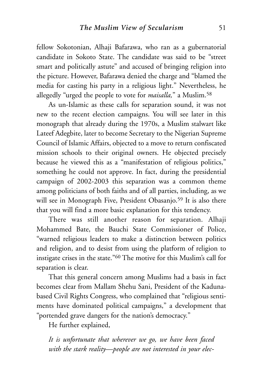fellow Sokotonian, Alhaji Bafarawa, who ran as a gubernatorial candidate in Sokoto State. The candidate was said to be "street smart and politically astute" and accused of bringing religion into the picture. However, Bafarawa denied the charge and "blamed the media for casting his party in a religious light." Nevertheless, he allegedly "urged the people to vote for *maisalla,*" a Muslim.58

As un-Islamic as these calls for separation sound, it was not new to the recent election campaigns. You will see later in this monograph that already during the 1970s, a Muslim stalwart like Lateef Adegbite, later to become Secretary to the Nigerian Supreme Council of Islamic Affairs, objected to a move to return confiscated mission schools to their original owners. He objected precisely because he viewed this as a "manifestation of religious politics," something he could not approve. In fact, during the presidential campaign of 2002-2003 this separation was a common theme among politicians of both faiths and of all parties, including, as we will see in Monograph Five, President Obasanjo.<sup>59</sup> It is also there that you will find a more basic explanation for this tendency.

There was still another reason for separation. Alhaji Mohammed Bate, the Bauchi State Commissioner of Police, "warned religious leaders to make a distinction between politics and religion, and to desist from using the platform of religion to instigate crises in the state."60 The motive for this Muslim's call for separation is clear.

That this general concern among Muslims had a basis in fact becomes clear from Mallam Shehu Sani, President of the Kadunabased Civil Rights Congress, who complained that "religious sentiments have dominated political campaigns," a development that "portended grave dangers for the nation's democracy."

He further explained,

*It is unfortunate that wherever we go, we have been faced with the stark reality—people are not interested in your elec-*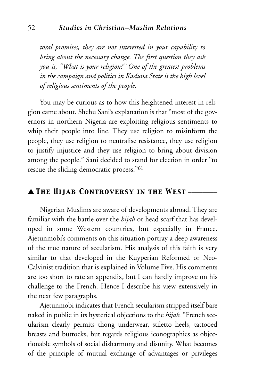*toral promises, they are not interested in your capability to bring about the necessary change. The first question they ask you is, "What is your religion?" One of the greatest problems in the campaign and politics in Kaduna State is the high level of religious sentiments of the people.*

You may be curious as to how this heightened interest in religion came about. Shehu Sani's explanation is that "most of the governors in northern Nigeria are exploiting religious sentiments to whip their people into line. They use religion to misinform the people, they use religion to neutralise resistance, they use religion to justify injustice and they use religion to bring about division among the people." Sani decided to stand for election in order "to rescue the sliding democratic process."61

## ▲ *The Hijab Controversy in the West* \_\_\_\_\_\_\_\_

Nigerian Muslims are aware of developments abroad. They are familiar with the battle over the *hijab* or head scarf that has developed in some Western countries, but especially in France. Ajetunmobi's comments on this situation portray a deep awareness of the true nature of secularism. His analysis of this faith is very similar to that developed in the Kuyperian Reformed or Neo-Calvinist tradition that is explained in Volume Five. His comments are too short to rate an appendix, but I can hardly improve on his challenge to the French. Hence I describe his view extensively in the next few paragraphs.

Ajetunmobi indicates that French secularism stripped itself bare naked in public in its hysterical objections to the *hijab.* "French secularism clearly permits thong underwear, stiletto heels, tattooed breasts and buttocks, but regards religious iconographies as objectionable symbols of social disharmony and disunity. What becomes of the principle of mutual exchange of advantages or privileges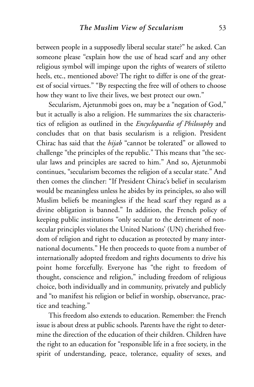between people in a supposedly liberal secular state?" he asked. Can someone please "explain how the use of head scarf and any other religious symbol will impinge upon the rights of wearers of stiletto heels, etc., mentioned above? The right to differ is one of the greatest of social virtues." "By respecting the free will of others to choose how they want to live their lives, we best protect our own."

Secularism, Ajetunmobi goes on, may be a "negation of God," but it actually is also a religion. He summarizes the six characteristics of religion as outlined in the *Encyclopaedia of Philosophy* and concludes that on that basis secularism is a religion. President Chirac has said that the *hijab* "cannot be tolerated" or allowed to challenge "the principles of the republic." This means that "the secular laws and principles are sacred to him." And so, Ajetunmobi continues, "secularism becomes the religion of a secular state." And then comes the clincher: "If President Chirac's belief in secularism would be meaningless unless he abides by its principles, so also will Muslim beliefs be meaningless if the head scarf they regard as a divine obligation is banned." In addition, the French policy of keeping public institutions "only secular to the detriment of nonsecular principles violates the United Nations' (UN) cherished freedom of religion and right to education as protected by many international documents." He then proceeds to quote from a number of internationally adopted freedom and rights documents to drive his point home forcefully. Everyone has "the right to freedom of thought, conscience and religion," including freedom of religious choice, both individually and in community, privately and publicly and "to manifest his religion or belief in worship, observance, practice and teaching."

This freedom also extends to education. Remember: the French issue is about dress at public schools. Parents have the right to determine the direction of the education of their children. Children have the right to an education for "responsible life in a free society, in the spirit of understanding, peace, tolerance, equality of sexes, and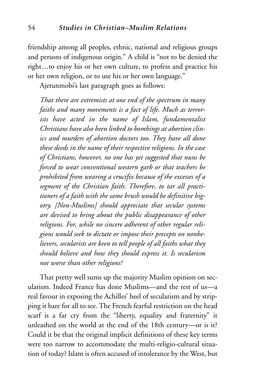friendship among all peoples, ethnic, national and religious groups and persons of indigenous origin." A child is "not to be denied the right…to enjoy his or her own culture, to profess and practice his or her own religion, or to use his or her own language."

Ajetunmobi's last paragraph goes as follows:

*That there are extremists at one end of the spectrum in many faiths and many movements is a fact of life. Much as terrorists have acted in the name of Islam, fundamentalist Christians have also been linked to bombings at abortion clinics and murders of abortion doctors too. They have all done these deeds in the name of their respective religions. In the case of Christians, however, no one has yet suggested that nuns be forced to wear conventional western garb or that teachers be prohibited from wearing a crucifix because of the excesses of a segment of the Christian faith. Therefore, to tar all practitioners of a faith with the same brush would be definitive bigotry. [Non-Muslims] should appreciate that secular systems are devised to bring about the public disappearance of other religions. For, while no sincere adherent of other regular religions would seek to dictate or impose their precepts on nonbelievers, secularists are keen to tell people of all faiths what they should believe and how they should express it. Is secularism not worse than other religions?*

That pretty well sums up the majority Muslim opinion on secularism. Indeed France has done Muslims—and the rest of us—a real favour in exposing the Achilles' heel of secularism and by stripping it bare for all to see. The French fearful restriction on the head scarf is a far cry from the "liberty, equality and fraternity" it unleashed on the world at the end of the 18th century—or is it? Could it be that the original implicit definitions of these key terms were too narrow to accommodate the multi-religio-cultural situation of today? Islam is often accused of intolerance by the West, but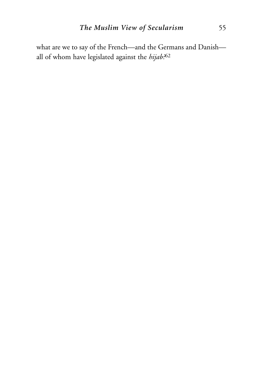what are we to say of the French—and the Germans and Danish all of whom have legislated against the *hijab?*<sup>62</sup>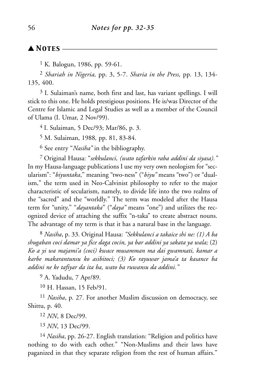## ▲ *Notes* \_\_\_\_\_\_\_\_\_\_\_\_\_\_\_\_\_\_\_\_\_\_\_\_\_\_\_\_\_\_\_\_\_\_\_\_\_\_\_\_\_\_

<sup>1</sup> K. Balogun, 1986, pp. 59-61.

2 *Shariah in Nigeria,* pp. 3, 5-7. *Sharia in the Press,* pp. 13, 134- 135, 400.

3 I. Sulaiman's name, both first and last, has variant spellings. I will stick to this one. He holds prestigious positions. He is/was Director of the Centre for Islamic and Legal Studies as well as a member of the Council of Ulama (I. Umar, 2 Nov/99).

4 I. Sulaiman, 5 Dec/93; Mar/86, p. 3.

5 M. Sulaiman, 1988*,* pp. 81, 83-84.

6 See entry "*Nasiha"* in the bibliography.

7 Original Hausa: "*sekkulanci, (wato tafarkin raba addini da siyasa)."* In my Hausa-language publications I use my very own neologism for "secularism": "*biyuntaka*," meaning "two-ness" ("*biyu"* means "two") or "dualism," the term used in Neo-Calvinist philosophy to refer to the major characteristic of secularism, namely, to divide life into the two realms of the "sacred" and the "worldly." The term was modeled after the Hausa term for "unity," "*dayantaka*" ("*daya"* means "one") and utilizes the recognized device of attaching the suffix "n-taka" to create abstract nouns. The advantage of my term is that it has a natural base in the language.

8 *Nasiha*, p. 33. Original Hausa: *"Sekkulanci a takaice shi ne: (1) A ba shugaban coci damar ya fice daga cocin, ya bar addini ya sakata ya wala;* (2) *Ko a yi wa majami'a (coci) kwace musamman ma dai gwamnati, kamar a karbe makarantunsu ko asibitoci; (3) Ko rayuwar jama'a ta kasance ba addini ne ke tafiyar da ita ba, wato ba ruwansu da addini."*

9 A. Yadudu, 7 Apr/89.

10 H. Hassan, 15 Feb/91.

11 *Nasiha*, p. 27. For another Muslim discussion on democracy, see Shittu, p. 40.

12 *NN*, 8 Dec/99.

13 *NN*, 13 Dec/99.

14 *Nasiha*, pp. 26-27. English translation: "Religion and politics have nothing to do with each other." "Non-Muslims and their laws have paganized in that they separate religion from the rest of human affairs."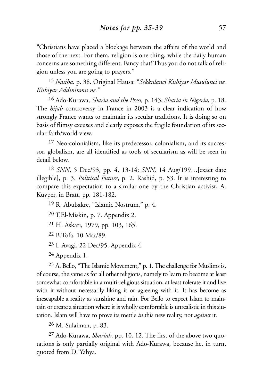"Christians have placed a blockage between the affairs of the world and those of the next. For them, religion is one thing, while the daily human concerns are something different. Fancy that! Thus you do not talk of religion unless you are going to prayers."

15 *Nasiha,* p. 38. Original Hausa: "*Sekkulanci Kishiyar Musulunci ne. Kishiyar Addininmu ne."*

16 Ado-Kurawa, *Sharia and the Press,* p. 143; *Sharia in Nigeria*, p. 18. The *hijab* controversy in France in 2003 is a clear indication of how strongly France wants to maintain its secular traditions. It is doing so on basis of flimsy excuses and clearly exposes the fragile foundation of its secular faith/world view.

<sup>17</sup> Neo-colonialism, like its predecessor, colonialism, and its successor, globalism, are all identified as tools of secularism as will be seen in detail below.

18 *SNN*, 5 Dec/93, pp. 4, 13-14; *SNN,* 14 Aug/199…[exact date illegible], p. 3. *Political Future*, p. 2. Rashid, p. 53. It is interesting to compare this expectation to a similar one by the Christian activist, A. Kuyper, in Bratt, pp. 181-182.

19 R. Abubakre, "Islamic Nostrum," p. 4.

20 T.El-Miskin, p. 7. Appendix 2.

21 H. Askari, 1979, pp. 103, 165.

22 B.Tofa, 10 Mar/89.

23 I. Avagi, 22 Dec/95. Appendix 4.

24 Appendix 1.

25 A. Bello, "The Islamic Movement," p. 1. The challenge for Muslims is, of course, the same as for all other religions, namely to learn to become at least somewhat comfortable in a multi-religious situation, at least tolerate it and live with it without necessarily liking it or agreeing with it. It has become as inescapable a reality as sunshine and rain. For Bello to expect Islam to maintain or create a situation where it is wholly comfortable is unrealistic in this siutation. Islam will have to prove its mettle *in* this new reality, not *against* it.

26 M. Sulaiman, p. 83.

27 Ado-Kurawa, *Shariah,* pp. 10, 12. The first of the above two quotations is only partially original with Ado-Kurawa, because he, in turn, quoted from D. Yahya.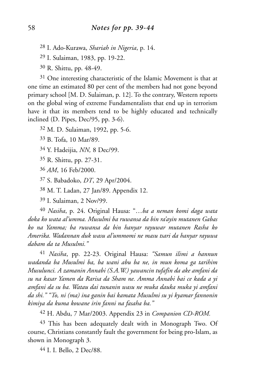28 I. Ado-Kurawa, *Shariah in Nigeria*, p. 14.

29 I. Sulaiman, 1983, pp. 19-22.

30 R. Shittu, pp. 48-49.

<sup>31</sup> One interesting characteristic of the Islamic Movement is that at one time an estimated 80 per cent of the members had not gone beyond primary school [M. D. Sulaiman, p. 12]. To the contrary, Western reports on the global wing of extreme Fundamentalists that end up in terrorism have it that its members tend to be highly educated and technically inclined (D. Pipes, Dec/95, pp. 3-6).

32 M. D. Sulaiman, 1992, pp. 5-6.

33 B. Tofa, 10 Mar/89.

34 Y. Hadeijia, *NN,* 8 Dec/99.

35 R. Shittu, pp. 27-31.

36 *AM*, 16 Feb/2000.

37 S. Babadoko, *DT*, 29 Apr/2004.

38 M. T. Ladan, 27 Jan/89. Appendix 12.

39 I. Sulaiman, 2 Nov/99.

40 *Nasiha*, p. 24. Original Hausa: "…*ba a neman komi daga wata doka ko wata al'umma. Musulmi ba ruwansa da bin ra'ayin mutanen Gabas ko na Yamma; ba ruwansa da bin hanyar rayuwar mutanen Rasha ko Amerika. Wadannan duk wasu al'ummomi ne masu tsari da hanyar rayuwa dabam da ta Musulmi."*

41 *Nasiha*, pp. 22-23. Original Hausa: *"Samun ilimi a hannun wadanda ba Musulmi ba, ba wani abu ba ne, in mun koma ga tarihim Musulunci. A zamanin Annabi (S.A.W.) yawancin tufafin da ake amfani da su na kasar Yamen da Rarisa da Sham ne. Amma Annabi bai ce kada a yi amfani da su ba. Watau dai tunanin wasu ne muka dauka muka yi amfani da shi." "To, ni (ma) ina ganin bai kamata Musulmi su yi kyamar fannonin kimiya da kuma kowane irin fanni na fasaha ba."*

42 H. Abdu, 7 Mar/2003. Appendix 23 in *Companion CD-ROM.*

<sup>43</sup> This has been adequately dealt with in Monograph Two. Of course, Christians constantly fault the government for being pro-Islam, as shown in Monograph 3.

44 I. I. Bello, 2 Dec/88.